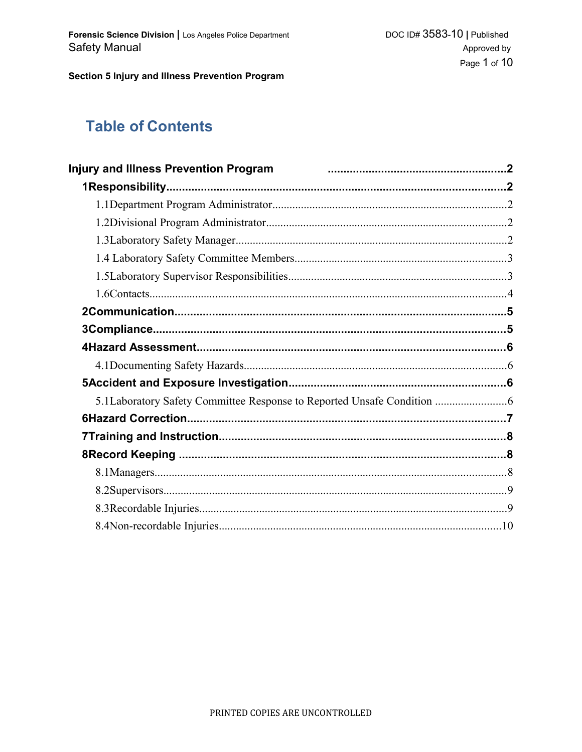# **Table of Contents**

| Injury and Illness Prevention Program <b>From the Construction of the Constantine Construction</b> 2 |  |
|------------------------------------------------------------------------------------------------------|--|
|                                                                                                      |  |
|                                                                                                      |  |
|                                                                                                      |  |
|                                                                                                      |  |
|                                                                                                      |  |
|                                                                                                      |  |
|                                                                                                      |  |
|                                                                                                      |  |
|                                                                                                      |  |
|                                                                                                      |  |
|                                                                                                      |  |
|                                                                                                      |  |
| 5.1Laboratory Safety Committee Response to Reported Unsafe Condition                                 |  |
|                                                                                                      |  |
|                                                                                                      |  |
|                                                                                                      |  |
|                                                                                                      |  |
|                                                                                                      |  |
|                                                                                                      |  |
|                                                                                                      |  |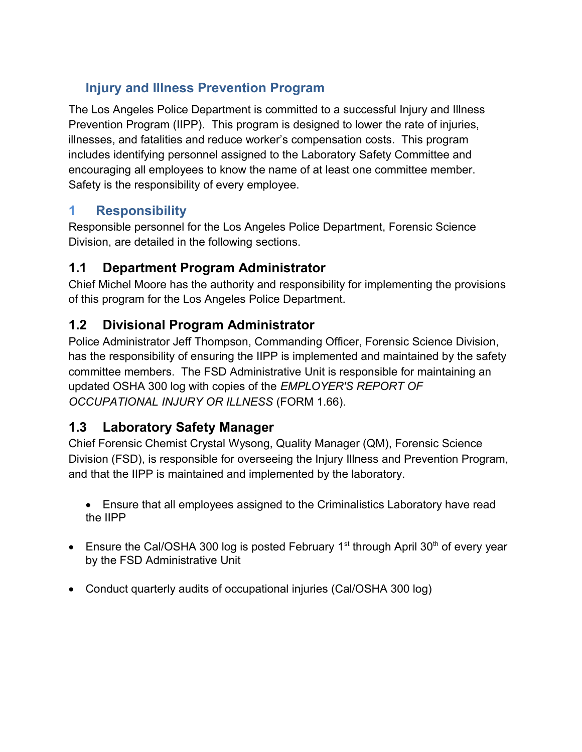# **Injury and Illness Prevention Program**

The Los Angeles Police Department is committed to a successful Injury and Illness Prevention Program (IIPP). This program is designed to lower the rate of injuries, illnesses, and fatalities and reduce worker's compensation costs. This program includes identifying personnel assigned to the Laboratory Safety Committee and encouraging all employees to know the name of at least one committee member. Safety is the responsibility of every employee.

## **1 Responsibility**

Responsible personnel for the Los Angeles Police Department, Forensic Science Division, are detailed in the following sections.

## **1.1 Department Program Administrator**

Chief Michel Moore has the authority and responsibility for implementing the provisions of this program for the Los Angeles Police Department.

## **1.2 Divisional Program Administrator**

Police Administrator Jeff Thompson, Commanding Officer, Forensic Science Division, has the responsibility of ensuring the IIPP is implemented and maintained by the safety committee members. The FSD Administrative Unit is responsible for maintaining an updated OSHA 300 log with copies of the *EMPLOYER'S REPORT OF OCCUPATIONAL INJURY OR ILLNESS* (FORM 1.66).

# **1.3 Laboratory Safety Manager**

Chief Forensic Chemist Crystal Wysong, Quality Manager (QM), Forensic Science Division (FSD), is responsible for overseeing the Injury Illness and Prevention Program, and that the IIPP is maintained and implemented by the laboratory.

- Ensure that all employees assigned to the Criminalistics Laboratory have read the IIPP
- **Ensure the Cal/OSHA 300 log is posted February 1<sup>st</sup> through April 30<sup>th</sup> of every year** by the FSD Administrative Unit
- Conduct quarterly audits of occupational injuries (Cal/OSHA 300 log)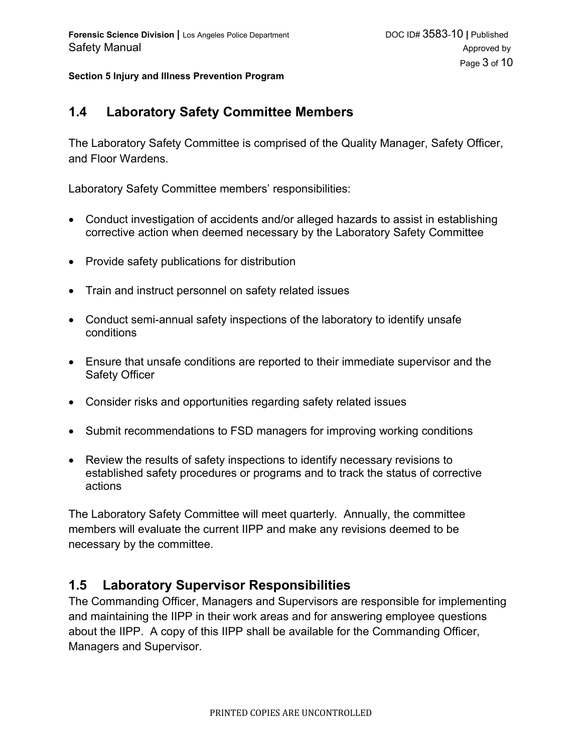#### **1.4 Laboratory Safety Committee Members**

The Laboratory Safety Committee is comprised of the Quality Manager, Safety Officer, and Floor Wardens.

Laboratory Safety Committee members' responsibilities:

- Conduct investigation of accidents and/or alleged hazards to assist in establishing corrective action when deemed necessary by the Laboratory Safety Committee
- Provide safety publications for distribution
- Train and instruct personnel on safety related issues
- Conduct semi-annual safety inspections of the laboratory to identify unsafe conditions
- Ensure that unsafe conditions are reported to their immediate supervisor and the Safety Officer
- Consider risks and opportunities regarding safety related issues
- Submit recommendations to FSD managers for improving working conditions
- Review the results of safety inspections to identify necessary revisions to established safety procedures or programs and to track the status of corrective actions

The Laboratory Safety Committee will meet quarterly. Annually, the committee members will evaluate the current IIPP and make any revisions deemed to be necessary by the committee.

#### **1.5 Laboratory Supervisor Responsibilities**

The Commanding Officer, Managers and Supervisors are responsible for implementing and maintaining the IIPP in their work areas and for answering employee questions about the IIPP. A copy of this IIPP shall be available for the Commanding Officer, Managers and Supervisor.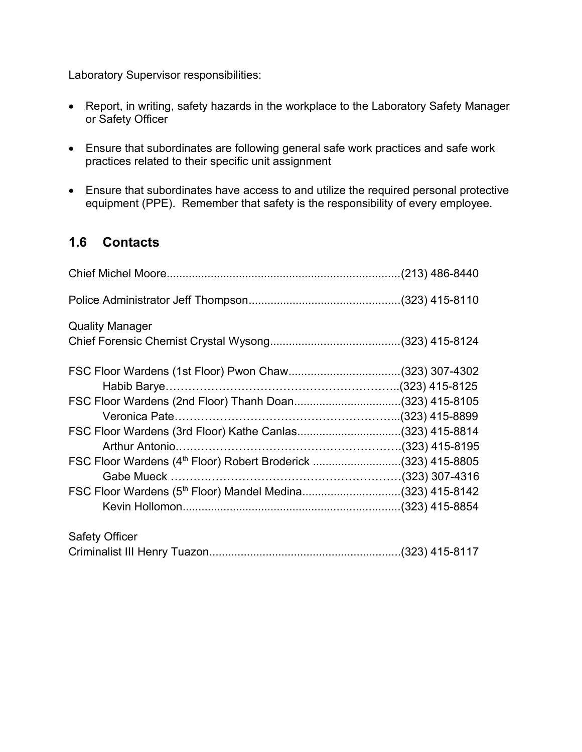Laboratory Supervisor responsibilities:

- Report, in writing, safety hazards in the workplace to the Laboratory Safety Manager or Safety Officer
- Ensure that subordinates are following general safe work practices and safe work practices related to their specific unit assignment
- Ensure that subordinates have access to and utilize the required personal protective equipment (PPE). Remember that safety is the responsibility of every employee.

## **1.6 Contacts**

| <b>Quality Manager</b>                                                    |  |
|---------------------------------------------------------------------------|--|
|                                                                           |  |
|                                                                           |  |
|                                                                           |  |
| FSC Floor Wardens (2nd Floor) Thanh Doan(323) 415-8105                    |  |
|                                                                           |  |
| FSC Floor Wardens (3rd Floor) Kathe Canlas(323) 415-8814                  |  |
|                                                                           |  |
| FSC Floor Wardens (4 <sup>th</sup> Floor) Robert Broderick (323) 415-8805 |  |
|                                                                           |  |
| FSC Floor Wardens (5th Floor) Mandel Medina(323) 415-8142                 |  |
|                                                                           |  |
| <b>Safety Officer</b>                                                     |  |
|                                                                           |  |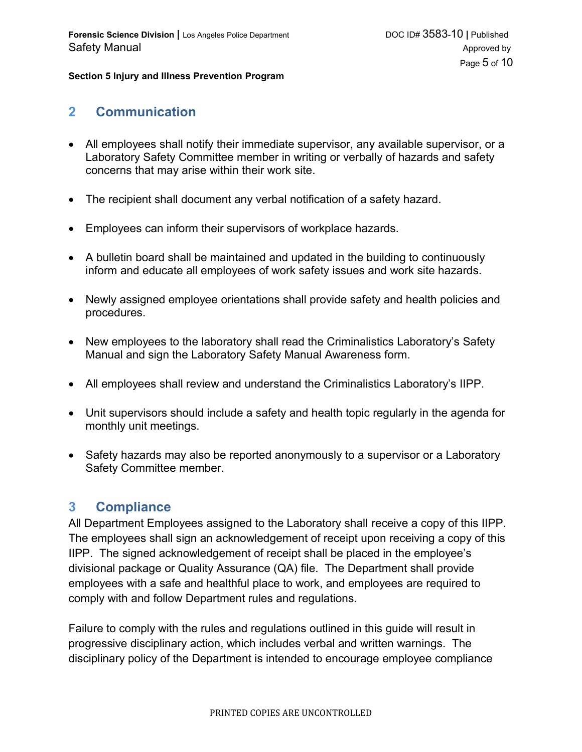#### **2 Communication**

- All employees shall notify their immediate supervisor, any available supervisor, or a Laboratory Safety Committee member in writing or verbally of hazards and safety concerns that may arise within their work site.
- The recipient shall document any verbal notification of a safety hazard.
- Employees can inform their supervisors of workplace hazards.
- A bulletin board shall be maintained and updated in the building to continuously inform and educate all employees of work safety issues and work site hazards.
- Newly assigned employee orientations shall provide safety and health policies and procedures.
- New employees to the laboratory shall read the Criminalistics Laboratory's Safety Manual and sign the Laboratory Safety Manual Awareness form.
- All employees shall review and understand the Criminalistics Laboratory's IIPP.
- Unit supervisors should include a safety and health topic regularly in the agenda for monthly unit meetings.
- Safety hazards may also be reported anonymously to a supervisor or a Laboratory Safety Committee member.

### **3 Compliance**

All Department Employees assigned to the Laboratory shall receive a copy of this IIPP. The employees shall sign an acknowledgement of receipt upon receiving a copy of this IIPP. The signed acknowledgement of receipt shall be placed in the employee's divisional package or Quality Assurance (QA) file. The Department shall provide employees with a safe and healthful place to work, and employees are required to comply with and follow Department rules and regulations.

Failure to comply with the rules and regulations outlined in this guide will result in progressive disciplinary action, which includes verbal and written warnings. The disciplinary policy of the Department is intended to encourage employee compliance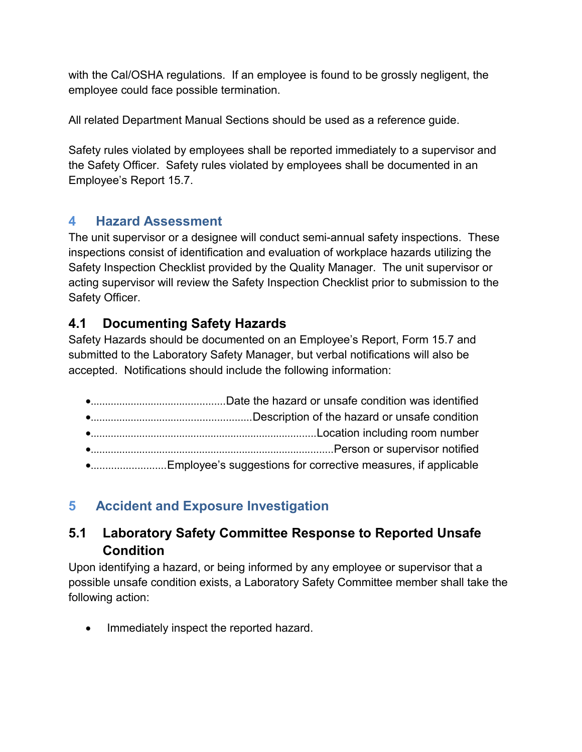with the Cal/OSHA regulations. If an employee is found to be grossly negligent, the employee could face possible termination.

All related Department Manual Sections should be used as a reference guide.

Safety rules violated by employees shall be reported immediately to a supervisor and the Safety Officer. Safety rules violated by employees shall be documented in an Employee's Report 15.7.

## **4 Hazard Assessment**

The unit supervisor or a designee will conduct semi-annual safety inspections. These inspections consist of identification and evaluation of workplace hazards utilizing the Safety Inspection Checklist provided by the Quality Manager. The unit supervisor or acting supervisor will review the Safety Inspection Checklist prior to submission to the Safety Officer.

## **4.1 Documenting Safety Hazards**

Safety Hazards should be documented on an Employee's Report, Form 15.7 and submitted to the Laboratory Safety Manager, but verbal notifications will also be accepted. Notifications should include the following information:

| •Employee's suggestions for corrective measures, if applicable |  |
|----------------------------------------------------------------|--|

# **5 Accident and Exposure Investigation**

## **5.1 Laboratory Safety Committee Response to Reported Unsafe Condition**

Upon identifying a hazard, or being informed by any employee or supervisor that a possible unsafe condition exists, a Laboratory Safety Committee member shall take the following action:

• Immediately inspect the reported hazard.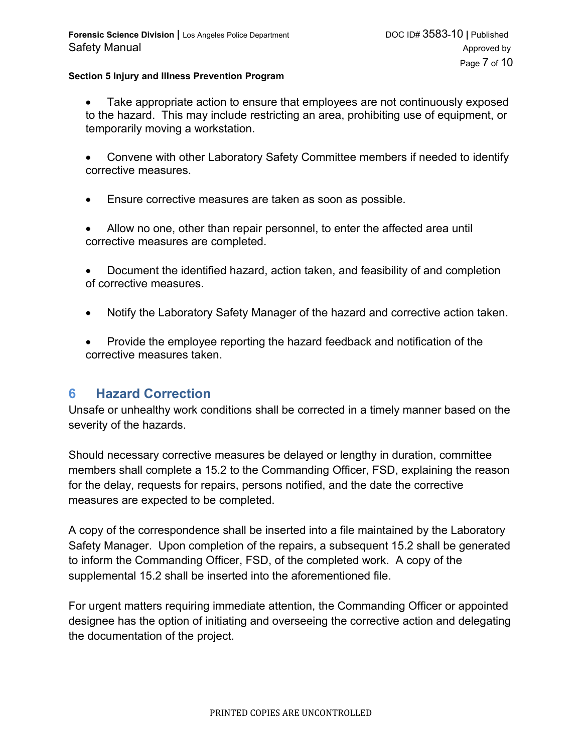- Take appropriate action to ensure that employees are not continuously exposed to the hazard. This may include restricting an area, prohibiting use of equipment, or temporarily moving a workstation.
- Convene with other Laboratory Safety Committee members if needed to identify corrective measures.
- Ensure corrective measures are taken as soon as possible.
- Allow no one, other than repair personnel, to enter the affected area until corrective measures are completed.
- Document the identified hazard, action taken, and feasibility of and completion of corrective measures.
- Notify the Laboratory Safety Manager of the hazard and corrective action taken.
- Provide the employee reporting the hazard feedback and notification of the corrective measures taken.

#### **6 Hazard Correction**

Unsafe or unhealthy work conditions shall be corrected in a timely manner based on the severity of the hazards.

Should necessary corrective measures be delayed or lengthy in duration, committee members shall complete a 15.2 to the Commanding Officer, FSD, explaining the reason for the delay, requests for repairs, persons notified, and the date the corrective measures are expected to be completed.

A copy of the correspondence shall be inserted into a file maintained by the Laboratory Safety Manager. Upon completion of the repairs, a subsequent 15.2 shall be generated to inform the Commanding Officer, FSD, of the completed work. A copy of the supplemental 15.2 shall be inserted into the aforementioned file.

For urgent matters requiring immediate attention, the Commanding Officer or appointed designee has the option of initiating and overseeing the corrective action and delegating the documentation of the project.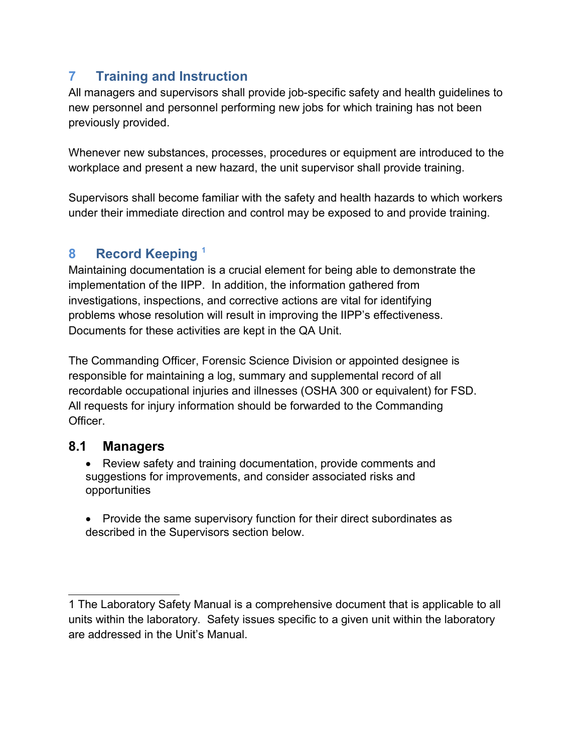# **7 Training and Instruction**

All managers and supervisors shall provide job-specific safety and health guidelines to new personnel and personnel performing new jobs for which training has not been previously provided.

Whenever new substances, processes, procedures or equipment are introduced to the workplace and present a new hazard, the unit supervisor shall provide training.

Supervisors shall become familiar with the safety and health hazards to which workers under their immediate direction and control may be exposed to and provide training.

## **8 Record Keeping [1](#page-7-0)**

Maintaining documentation is a crucial element for being able to demonstrate the implementation of the IIPP. In addition, the information gathered from investigations, inspections, and corrective actions are vital for identifying problems whose resolution will result in improving the IIPP's effectiveness. Documents for these activities are kept in the QA Unit.

The Commanding Officer, Forensic Science Division or appointed designee is responsible for maintaining a log, summary and supplemental record of all recordable occupational injuries and illnesses (OSHA 300 or equivalent) for FSD. All requests for injury information should be forwarded to the Commanding **Officer** 

#### **8.1 Managers**

- Review safety and training documentation, provide comments and suggestions for improvements, and consider associated risks and opportunities
- Provide the same supervisory function for their direct subordinates as described in the Supervisors section below.

<span id="page-7-0"></span><sup>1</sup> The Laboratory Safety Manual is a comprehensive document that is applicable to all units within the laboratory. Safety issues specific to a given unit within the laboratory are addressed in the Unit's Manual.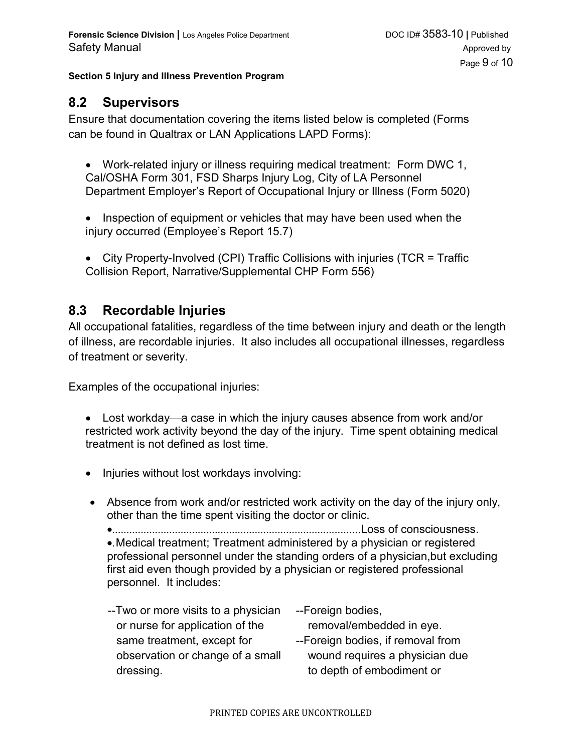#### **8.2 Supervisors**

Ensure that documentation covering the items listed below is completed (Forms can be found in Qualtrax or LAN Applications LAPD Forms):

- Work-related injury or illness requiring medical treatment: Form DWC 1, Cal/OSHA Form 301, FSD Sharps Injury Log, City of LA Personnel Department Employer's Report of Occupational Injury or Illness (Form 5020)
- Inspection of equipment or vehicles that may have been used when the injury occurred (Employee's Report 15.7)
- City Property-Involved (CPI) Traffic Collisions with injuries (TCR = Traffic Collision Report, Narrative/Supplemental CHP Form 556)

#### **8.3 Recordable Injuries**

All occupational fatalities, regardless of the time between injury and death or the length of illness, are recordable injuries. It also includes all occupational illnesses, regardless of treatment or severity.

Examples of the occupational injuries:

- Lost workday—a case in which the injury causes absence from work and/or restricted work activity beyond the day of the injury. Time spent obtaining medical treatment is not defined as lost time.
- Injuries without lost workdays involving:
- Absence from work and/or restricted work activity on the day of the injury only, other than the time spent visiting the doctor or clinic.
	- .......................................................................................Loss of consciousness. .Medical treatment; Treatment administered by a physician or registered professional personnel under the standing orders of a physician,but excluding first aid even though provided by a physician or registered professional personnel. It includes:
	- --Two or more visits to a physician or nurse for application of the same treatment, except for observation or change of a small dressing.
- --Foreign bodies,
- removal/embedded in eye.
- --Foreign bodies, if removal from wound requires a physician due to depth of embodiment or